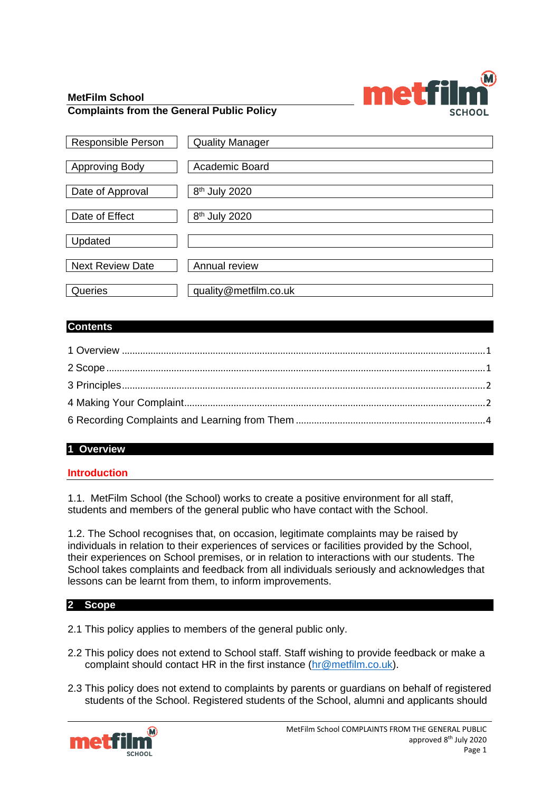

#### **MetFilm School Complaints from the General Public Policy**

| <b>Responsible Person</b> | <b>Quality Manager</b>    |
|---------------------------|---------------------------|
| <b>Approving Body</b>     | Academic Board            |
| Date of Approval          | 8 <sup>th</sup> July 2020 |
| Date of Effect            | 8 <sup>th</sup> July 2020 |
| Updated                   |                           |
| <b>Next Review Date</b>   | Annual review             |
| Queries                   | quality@metfilm.co.uk     |

## **Contents**

# <span id="page-0-0"></span>**1 Overview**

#### **Introduction**

1.1. MetFilm School (the School) works to create a positive environment for all staff, students and members of the general public who have contact with the School.

1.2. The School recognises that, on occasion, legitimate complaints may be raised by individuals in relation to their experiences of services or facilities provided by the School, their experiences on School premises, or in relation to interactions with our students. The School takes complaints and feedback from all individuals seriously and acknowledges that lessons can be learnt from them, to inform improvements.

#### <span id="page-0-1"></span>**2 Scope**

- 2.1 This policy applies to members of the general public only.
- 2.2 This policy does not extend to School staff. Staff wishing to provide feedback or make a complaint should contact HR in the first instance [\(hr@metfilm.co.uk\)](mailto:hr@metfilm.co.uk).
- 2.3 This policy does not extend to complaints by parents or guardians on behalf of registered students of the School. Registered students of the School, alumni and applicants should

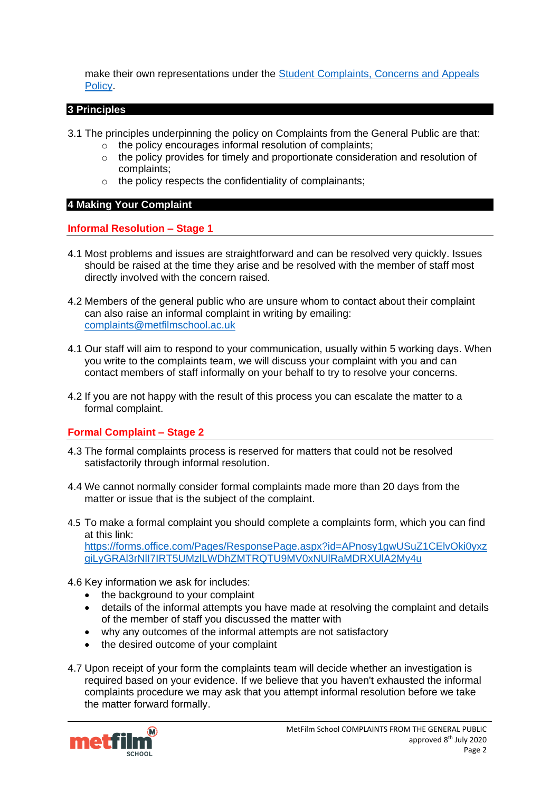make their own representations under the [Student Complaints, Concerns and Appeals](https://nw1761q175jkp2hnjhhmmlth-wpengine.netdna-ssl.com/wp-content/uploads/2019/09/Student-Concerns-Complaints-Appeals-Policy-19-09-16_MetFilm-School.pdf)  [Policy.](https://nw1761q175jkp2hnjhhmmlth-wpengine.netdna-ssl.com/wp-content/uploads/2019/09/Student-Concerns-Complaints-Appeals-Policy-19-09-16_MetFilm-School.pdf)

#### <span id="page-1-0"></span>**3 Principles**

- 3.1 The principles underpinning the policy on Complaints from the General Public are that:
	- o the policy encourages informal resolution of complaints;
	- $\circ$  the policy provides for timely and proportionate consideration and resolution of complaints;
	- o the policy respects the confidentiality of complainants;

#### <span id="page-1-1"></span>**4 Making Your Complaint**

**Informal Resolution – Stage 1**

- 4.1 Most problems and issues are straightforward and can be resolved very quickly. Issues should be raised at the time they arise and be resolved with the member of staff most directly involved with the concern raised.
- 4.2 Members of the general public who are unsure whom to contact about their complaint can also raise an informal complaint in writing by emailing: [complaints@metfilmschool.ac.uk](mailto:complaints@metfilmschool.ac.uk)
- 4.1 Our staff will aim to respond to your communication, usually within 5 working days. When you write to the complaints team, we will discuss your complaint with you and can contact members of staff informally on your behalf to try to resolve your concerns.
- 4.2 If you are not happy with the result of this process you can escalate the matter to a formal complaint.

# **Formal Complaint – Stage 2**

- 4.3 The formal complaints process is reserved for matters that could not be resolved satisfactorily through informal resolution.
- 4.4 We cannot normally consider formal complaints made more than 20 days from the matter or issue that is the subject of the complaint.
- 4.5 To make a formal complaint you should complete a complaints form, which you can find at this link: [https://forms.office.com/Pages/ResponsePage.aspx?id=APnosy1gwUSuZ1CElvOki0yxz](https://forms.office.com/Pages/ResponsePage.aspx?id=APnosy1gwUSuZ1CElvOki0yxzgiLyGRAl3rNlI7IRT5UMzlLWDhZMTRQTU9MV0xNUlRaMDRXUlA2My4u) [giLyGRAl3rNlI7IRT5UMzlLWDhZMTRQTU9MV0xNUlRaMDRXUlA2My4u](https://forms.office.com/Pages/ResponsePage.aspx?id=APnosy1gwUSuZ1CElvOki0yxzgiLyGRAl3rNlI7IRT5UMzlLWDhZMTRQTU9MV0xNUlRaMDRXUlA2My4u)
- 4.6 Key information we ask for includes:
	- the background to your complaint
	- details of the informal attempts you have made at resolving the complaint and details of the member of staff you discussed the matter with
	- why any outcomes of the informal attempts are not satisfactory
	- the desired outcome of your complaint
- 4.7 Upon receipt of your form the complaints team will decide whether an investigation is required based on your evidence. If we believe that you haven't exhausted the informal complaints procedure we may ask that you attempt informal resolution before we take the matter forward formally.

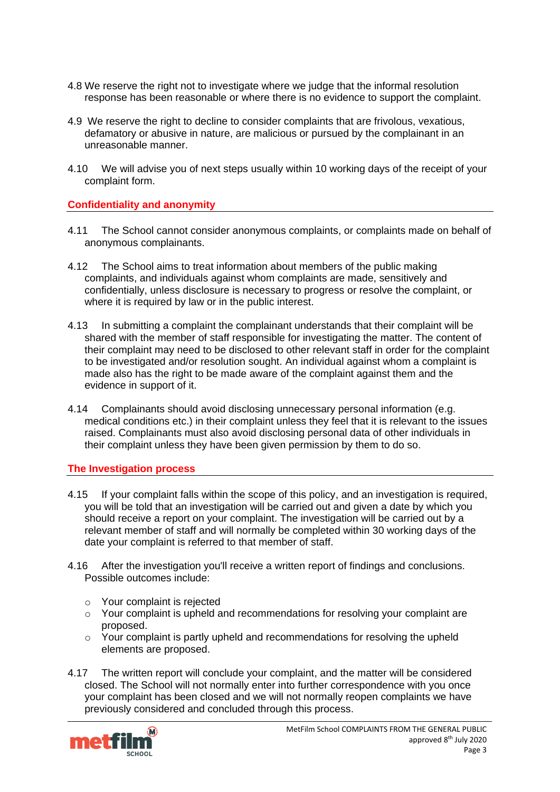- 4.8 We reserve the right not to investigate where we judge that the informal resolution response has been reasonable or where there is no evidence to support the complaint.
- 4.9 We reserve the right to decline to consider complaints that are frivolous, vexatious, defamatory or abusive in nature, are malicious or pursued by the complainant in an unreasonable manner.
- 4.10 We will advise you of next steps usually within 10 working days of the receipt of your complaint form.

# **Confidentiality and anonymity**

- 4.11 The School cannot consider anonymous complaints, or complaints made on behalf of anonymous complainants.
- 4.12 The School aims to treat information about members of the public making complaints, and individuals against whom complaints are made, sensitively and confidentially, unless disclosure is necessary to progress or resolve the complaint, or where it is required by law or in the public interest.
- 4.13 In submitting a complaint the complainant understands that their complaint will be shared with the member of staff responsible for investigating the matter. The content of their complaint may need to be disclosed to other relevant staff in order for the complaint to be investigated and/or resolution sought. An individual against whom a complaint is made also has the right to be made aware of the complaint against them and the evidence in support of it.
- 4.14 Complainants should avoid disclosing unnecessary personal information (e.g. medical conditions etc.) in their complaint unless they feel that it is relevant to the issues raised. Complainants must also avoid disclosing personal data of other individuals in their complaint unless they have been given permission by them to do so.

#### **The Investigation process**

- 4.15 If your complaint falls within the scope of this policy, and an investigation is required, you will be told that an investigation will be carried out and given a date by which you should receive a report on your complaint. The investigation will be carried out by a relevant member of staff and will normally be completed within 30 working days of the date your complaint is referred to that member of staff.
- 4.16 After the investigation you'll receive a written report of findings and conclusions. Possible outcomes include:
	- o Your complaint is rejected
	- o Your complaint is upheld and recommendations for resolving your complaint are proposed.
	- $\circ$  Your complaint is partly upheld and recommendations for resolving the upheld elements are proposed.
- 4.17 The written report will conclude your complaint, and the matter will be considered closed. The School will not normally enter into further correspondence with you once your complaint has been closed and we will not normally reopen complaints we have previously considered and concluded through this process.